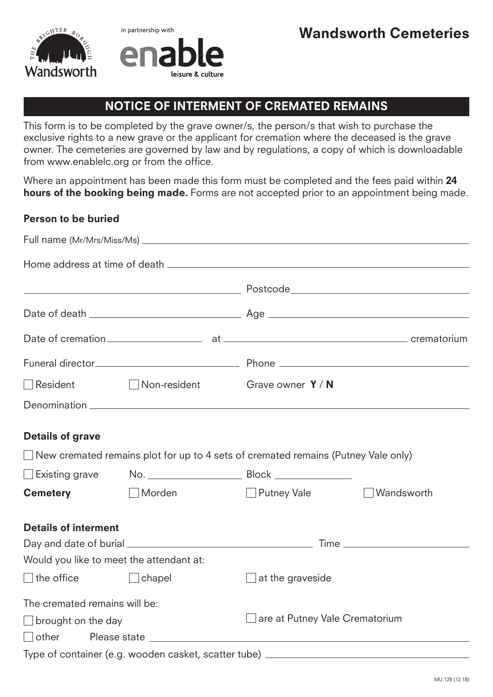



## NOTICE OF INTERMENT OF CREMATED REMAINS

This form is to be completed by the grave owner/s, the person/s that wish to purchase the exclusive rights to a new grave or the applicant for cremation where the deceased is the grave owner. The cemeteries are governed by law and by regulations, a copy of which is downloadable from www.enablelc.org or from the office.

Where an appointment has been made this form must be completed and the fees paid within 24 hours of the booking being made. Forms are not accepted prior to an appointment being made.

## Person to be buried

| Resident                      |                                          | □ Non-resident Grave owner Y/N                                                           |                                |  |
|-------------------------------|------------------------------------------|------------------------------------------------------------------------------------------|--------------------------------|--|
|                               |                                          |                                                                                          |                                |  |
| <b>Details of grave</b>       |                                          |                                                                                          |                                |  |
|                               |                                          | $\Box$ New cremated remains plot for up to 4 sets of cremated remains (Putney Vale only) |                                |  |
| $\square$ Existing grave      |                                          |                                                                                          |                                |  |
| <b>Cemetery</b>               | $\Box$ Morden                            | Putney Vale                                                                              | Wandsworth                     |  |
| <b>Details of interment</b>   |                                          |                                                                                          |                                |  |
|                               |                                          |                                                                                          |                                |  |
|                               | Would you like to meet the attendant at: |                                                                                          |                                |  |
| $\Box$ the office             | $\Box$ chapel                            | $\Box$ at the graveside                                                                  |                                |  |
| The cremated remains will be: |                                          |                                                                                          |                                |  |
| $\Box$ brought on the day     |                                          |                                                                                          | are at Putney Vale Crematorium |  |
|                               |                                          |                                                                                          |                                |  |
|                               |                                          | Type of container (e.g. wooden casket, scatter tube) ___________________________         |                                |  |